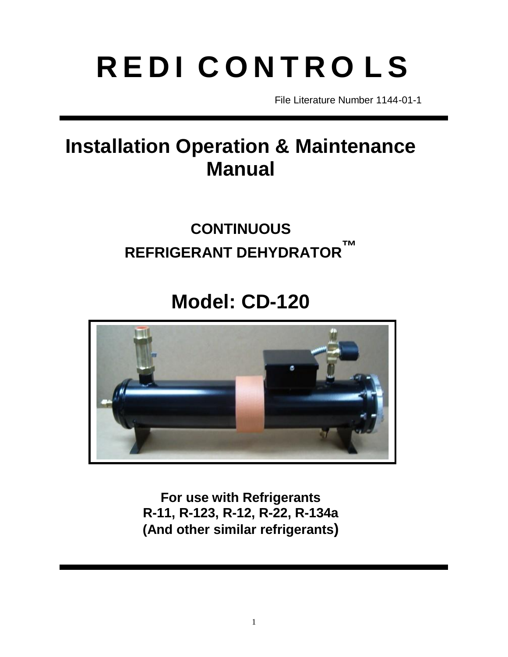# **R E D I C O N T R O L S**

File Literature Number 1144-01-1

# **Installation Operation & Maintenance Manual**

# **CONTINUOUS REFRIGERANT DEHYDRATOR ™**

# **Model: CD-120**



**For use with Refrigerants R-11, R-123, R-12, R-22, R-134a (And other similar refrigerants)**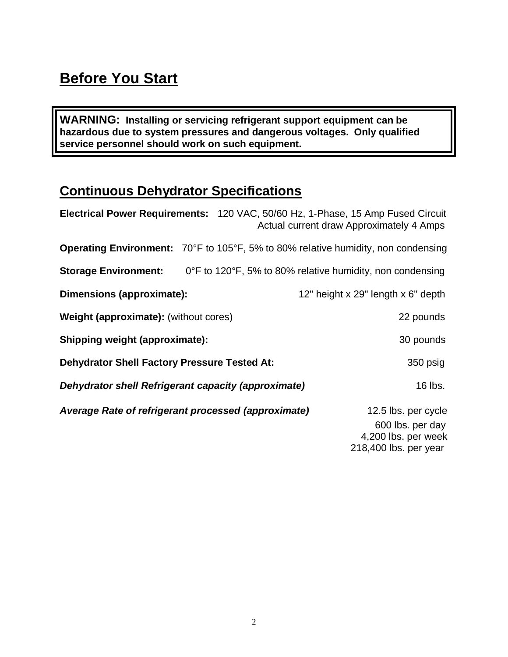## **Before You Start**

**WARNING: Installing or servicing refrigerant support equipment can be hazardous due to system pressures and dangerous voltages. Only qualified service personnel should work on such equipment.**

#### **Continuous Dehydrator Specifications**

| Electrical Power Requirements: 120 VAC, 50/60 Hz, 1-Phase, 15 Amp Fused Circuit   | Actual current draw Approximately 4 Amps                  |
|-----------------------------------------------------------------------------------|-----------------------------------------------------------|
| Operating Environment: 70°F to 105°F, 5% to 80% relative humidity, non condensing |                                                           |
| <b>Storage Environment:</b>                                                       | 0°F to 120°F, 5% to 80% relative humidity, non condensing |
| Dimensions (approximate):                                                         | 12" height x 29" length x 6" depth                        |
| Weight (approximate): (without cores)                                             | 22 pounds                                                 |
| <b>Shipping weight (approximate):</b>                                             | 30 pounds                                                 |
| <b>Dehydrator Shell Factory Pressure Tested At:</b>                               | 350 psig                                                  |
| <b>Dehydrator shell Refrigerant capacity (approximate)</b>                        | 16 lbs.                                                   |
| Average Rate of refrigerant processed (approximate)                               | 12.5 lbs. per cycle                                       |
|                                                                                   | 600 lbs. per day                                          |
|                                                                                   | 4,200 lbs. per week                                       |
|                                                                                   | 218,400 lbs. per year                                     |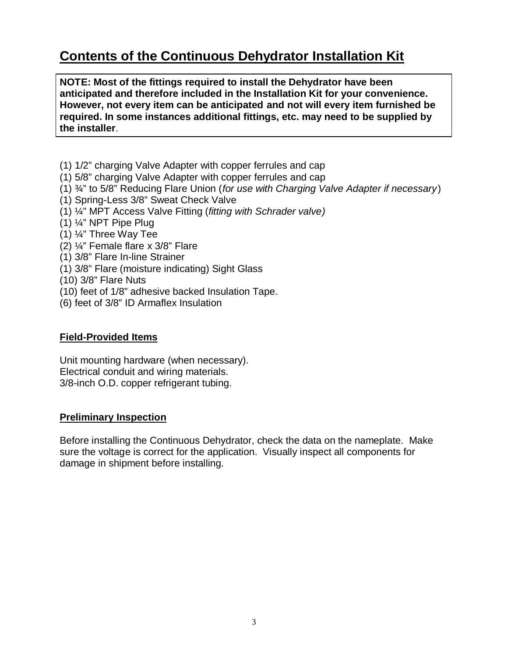#### **Contents of the Continuous Dehydrator Installation Kit**

**NOTE: Most of the fittings required to install the Dehydrator have been anticipated and therefore included in the Installation Kit for your convenience. However, not every item can be anticipated and not will every item furnished be required. In some instances additional fittings, etc. may need to be supplied by the installer**.

- (1) 1/2" charging Valve Adapter with copper ferrules and cap
- (1) 5/8" charging Valve Adapter with copper ferrules and cap
- (1) ¾" to 5/8" Reducing Flare Union (*for use with Charging Valve Adapter if necessary*)
- (1) Spring-Less 3/8" Sweat Check Valve
- (1) ¼" MPT Access Valve Fitting (*fitting with Schrader valve)*
- (1) ¼" NPT Pipe Plug
- (1) ¼" Three Way Tee
- (2) ¼" Female flare x 3/8" Flare
- (1) 3/8" Flare In-line Strainer
- (1) 3/8" Flare (moisture indicating) Sight Glass
- (10) 3/8" Flare Nuts
- (10) feet of 1/8" adhesive backed Insulation Tape.
- (6) feet of 3/8" ID Armaflex Insulation

#### **Field-Provided Items**

Unit mounting hardware (when necessary). Electrical conduit and wiring materials. 3/8-inch O.D. copper refrigerant tubing.

#### **Preliminary Inspection**

Before installing the Continuous Dehydrator, check the data on the nameplate. Make sure the voltage is correct for the application. Visually inspect all components for damage in shipment before installing.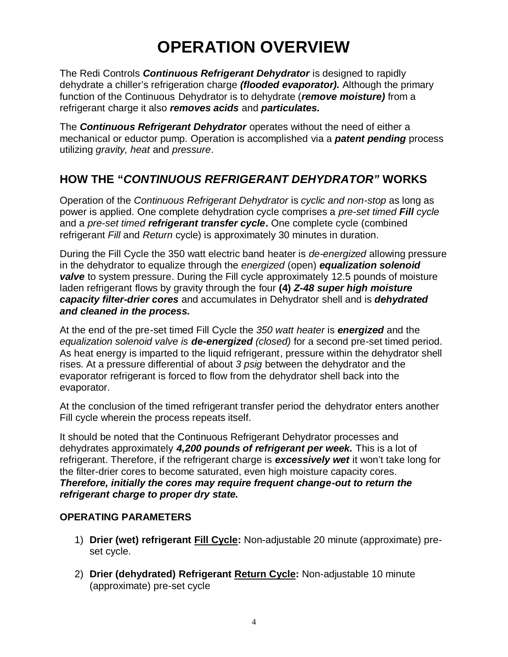# **OPERATION OVERVIEW**

The Redi Controls *Continuous Refrigerant Dehydrator* is designed to rapidly dehydrate a chiller's refrigeration charge *(flooded evaporator).* Although the primary function of the Continuous Dehydrator is to dehydrate (*remove moisture)* from a refrigerant charge it also *removes acids* and *particulates.*

The *Continuous Refrigerant Dehydrator* operates without the need of either a mechanical or eductor pump. Operation is accomplished via a *patent pending* process utilizing *gravity, heat* and *pressure*.

#### **HOW THE "***CONTINUOUS REFRIGERANT DEHYDRATOR"* **WORKS**

Operation of the *Continuous Refrigerant Dehydrator* is *cyclic and non-stop* as long as power is applied. One complete dehydration cycle comprises a *pre-set timed Fill cycle*  and a *pre-set timed refrigerant transfer cycle***.** One complete cycle (combined refrigerant *Fill* and *Return* cycle) is approximately 30 minutes in duration.

During the Fill Cycle the 350 watt electric band heater is *de-energized* allowing pressure in the dehydrator to equalize through the *energized* (open) *equalization solenoid*  **valve** to system pressure. During the Fill cycle approximately 12.5 pounds of moisture laden refrigerant flows by gravity through the four **(4)** *Z-48 super high moisture capacity filter-drier cores* and accumulates in Dehydrator shell and is *dehydrated and cleaned in the process.*

At the end of the pre-set timed Fill Cycle the *350 watt heater* is *energized* and the *equalization solenoid valve is de-energized (closed)* for a second pre-set timed period. As heat energy is imparted to the liquid refrigerant, pressure within the dehydrator shell rises. At a pressure differential of about *3 psig* between the dehydrator and the evaporator refrigerant is forced to flow from the dehydrator shell back into the evaporator.

At the conclusion of the timed refrigerant transfer period the dehydrator enters another Fill cycle wherein the process repeats itself.

It should be noted that the Continuous Refrigerant Dehydrator processes and dehydrates approximately *4,200 pounds of refrigerant per week.* This is a lot of refrigerant. Therefore, if the refrigerant charge is *excessively wet* it won't take long for the filter-drier cores to become saturated, even high moisture capacity cores. *Therefore, initially the cores may require frequent change-out to return the refrigerant charge to proper dry state.*

#### **OPERATING PARAMETERS**

- 1) **Drier (wet) refrigerant Fill Cycle:** Non-adjustable 20 minute (approximate) preset cycle.
- 2) **Drier (dehydrated) Refrigerant Return Cycle:** Non-adjustable 10 minute (approximate) pre-set cycle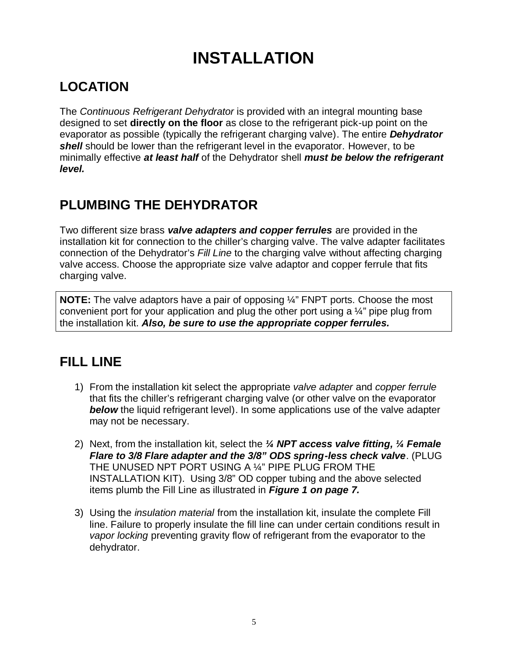# **INSTALLATION**

## **LOCATION**

The *Continuous Refrigerant Dehydrator* is provided with an integral mounting base designed to set **directly on the floor** as close to the refrigerant pick-up point on the evaporator as possible (typically the refrigerant charging valve). The entire *Dehydrator shell* should be lower than the refrigerant level in the evaporator. However, to be minimally effective *at least half* of the Dehydrator shell *must be below the refrigerant level.*

## **PLUMBING THE DEHYDRATOR**

Two different size brass *valve adapters and copper ferrules* are provided in the installation kit for connection to the chiller's charging valve. The valve adapter facilitates connection of the Dehydrator's *Fill Line* to the charging valve without affecting charging valve access. Choose the appropriate size valve adaptor and copper ferrule that fits charging valve.

**NOTE:** The valve adaptors have a pair of opposing <sup>1/4</sup> FNPT ports. Choose the most convenient port for your application and plug the other port using a ¼" pipe plug from the installation kit. *Also, be sure to use the appropriate copper ferrules.*

## **FILL LINE**

- 1) From the installation kit select the appropriate *valve adapter* and *copper ferrule* that fits the chiller's refrigerant charging valve (or other valve on the evaporator *below* the liquid refrigerant level). In some applications use of the valve adapter may not be necessary.
- 2) Next, from the installation kit, select the *¼ NPT access valve fitting, ¼ Female Flare to 3/8 Flare adapter and the 3/8" ODS spring-less check valve*. (PLUG THE UNUSED NPT PORT USING A ¼" PIPE PLUG FROM THE INSTALLATION KIT). Using 3/8" OD copper tubing and the above selected items plumb the Fill Line as illustrated in *Figure 1 on page 7.*
- 3) Using the *insulation material* from the installation kit, insulate the complete Fill line. Failure to properly insulate the fill line can under certain conditions result in *vapor locking* preventing gravity flow of refrigerant from the evaporator to the dehydrator.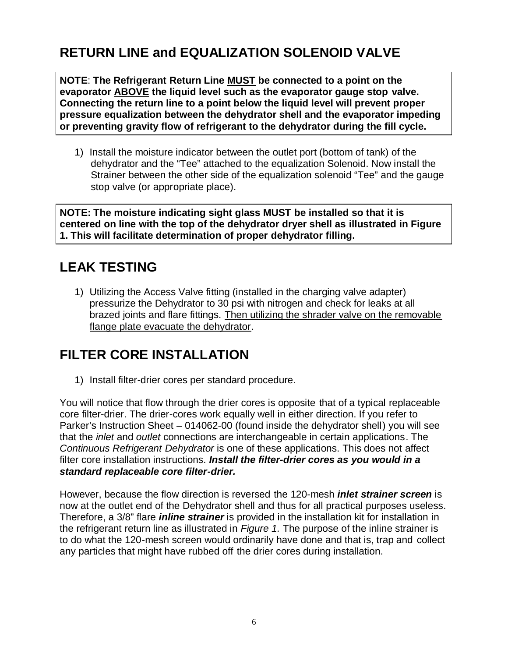## **RETURN LINE and EQUALIZATION SOLENOID VALVE**

**NOTE**: **The Refrigerant Return Line MUST be connected to a point on the evaporator ABOVE the liquid level such as the evaporator gauge stop valve. Connecting the return line to a point below the liquid level will prevent proper pressure equalization between the dehydrator shell and the evaporator impeding or preventing gravity flow of refrigerant to the dehydrator during the fill cycle.** 

1) Install the moisture indicator between the outlet port (bottom of tank) of the dehydrator and the "Tee" attached to the equalization Solenoid. Now install the Strainer between the other side of the equalization solenoid "Tee" and the gauge stop valve (or appropriate place).

**NOTE: The moisture indicating sight glass MUST be installed so that it is centered on line with the top of the dehydrator dryer shell as illustrated in Figure 1. This will facilitate determination of proper dehydrator filling.**

#### **LEAK TESTING**

1) Utilizing the Access Valve fitting (installed in the charging valve adapter) pressurize the Dehydrator to 30 psi with nitrogen and check for leaks at all brazed joints and flare fittings. Then utilizing the shrader valve on the removable flange plate evacuate the dehydrator.

## **FILTER CORE INSTALLATION**

1) Install filter-drier cores per standard procedure.

You will notice that flow through the drier cores is opposite that of a typical replaceable core filter-drier. The drier-cores work equally well in either direction. If you refer to Parker's Instruction Sheet – 014062-00 (found inside the dehydrator shell) you will see that the *inlet* and *outlet* connections are interchangeable in certain applications. The *Continuous Refrigerant Dehydrator* is one of these applications. This does not affect filter core installation instructions. *Install the filter-drier cores as you would in a standard replaceable core filter-drier.*

However, because the flow direction is reversed the 120-mesh *inlet strainer screen* is now at the outlet end of the Dehydrator shell and thus for all practical purposes useless. Therefore, a 3/8" flare *inline strainer* is provided in the installation kit for installation in the refrigerant return line as illustrated in *Figure 1.* The purpose of the inline strainer is to do what the 120-mesh screen would ordinarily have done and that is, trap and collect any particles that might have rubbed off the drier cores during installation.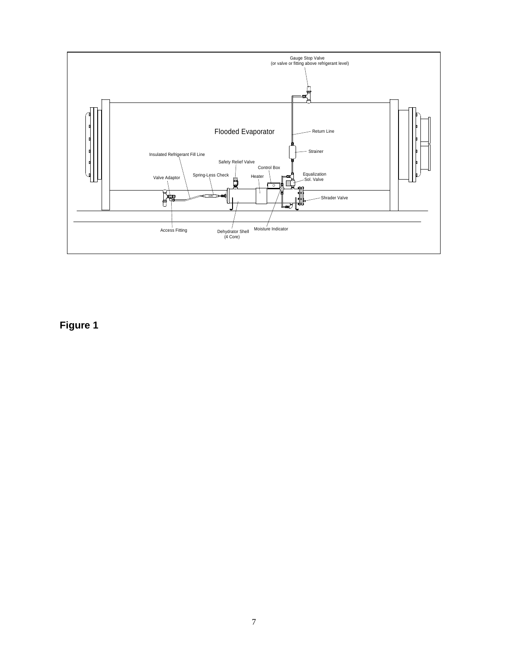

**Figure 1**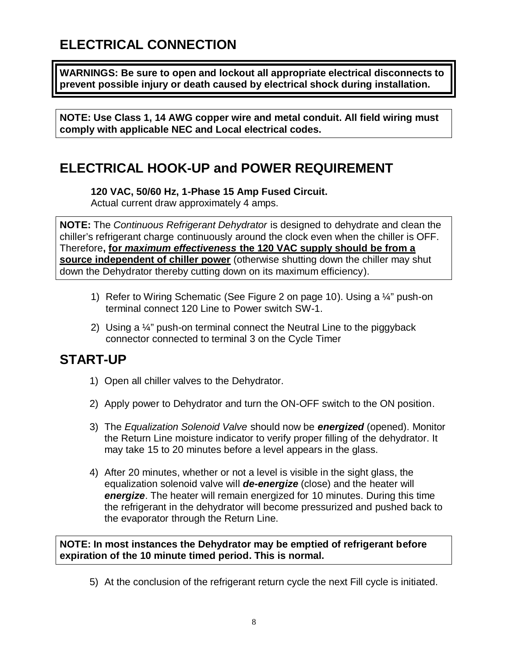## **ELECTRICAL CONNECTION**

**WARNINGS: Be sure to open and lockout all appropriate electrical disconnects to prevent possible injury or death caused by electrical shock during installation.**

**NOTE: Use Class 1, 14 AWG copper wire and metal conduit. All field wiring must comply with applicable NEC and Local electrical codes.**

#### **ELECTRICAL HOOK-UP and POWER REQUIREMENT**

**120 VAC, 50/60 Hz, 1-Phase 15 Amp Fused Circuit.** Actual current draw approximately 4 amps.

**NOTE:** The *Continuous Refrigerant Dehydrator* is designed to dehydrate and clean the chiller's refrigerant charge continuously around the clock even when the chiller is OFF. Therefore**, for** *maximum effectiveness* **the 120 VAC supply should be from a source independent of chiller power** (otherwise shutting down the chiller may shut down the Dehydrator thereby cutting down on its maximum efficiency).

- 1) Refer to Wiring Schematic (See Figure 2 on page 10). Using a ¼" push-on terminal connect 120 Line to Power switch SW-1.
- 2) Using a ¼" push-on terminal connect the Neutral Line to the piggyback connector connected to terminal 3 on the Cycle Timer

#### **START-UP**

- 1) Open all chiller valves to the Dehydrator.
- 2) Apply power to Dehydrator and turn the ON-OFF switch to the ON position.
- 3) The *Equalization Solenoid Valve* should now be *energized* (opened). Monitor the Return Line moisture indicator to verify proper filling of the dehydrator. It may take 15 to 20 minutes before a level appears in the glass.
- 4) After 20 minutes, whether or not a level is visible in the sight glass, the equalization solenoid valve will *de-energize* (close) and the heater will *energize*. The heater will remain energized for 10 minutes. During this time the refrigerant in the dehydrator will become pressurized and pushed back to the evaporator through the Return Line.

**NOTE: In most instances the Dehydrator may be emptied of refrigerant before expiration of the 10 minute timed period. This is normal.**

5) At the conclusion of the refrigerant return cycle the next Fill cycle is initiated.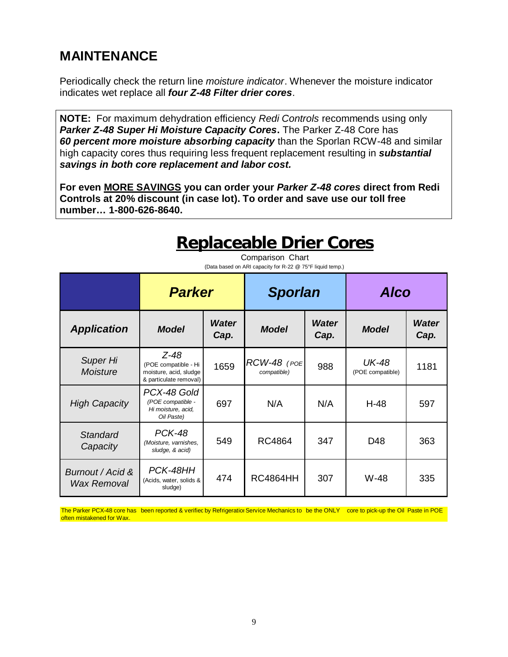#### **MAINTENANCE**

Periodically check the return line *moisture indicator*. Whenever the moisture indicator indicates wet replace all *four Z-48 Filter drier cores*.

**NOTE:** For maximum dehydration efficiency *Redi Controls* recommends using only *Parker Z-48 Super Hi Moisture Capacity Cores***.** The Parker Z-48 Core has *60 percent more moisture absorbing capacity* than the Sporlan RCW-48 and similar high capacity cores thus requiring less frequent replacement resulting in *substantial savings in both core replacement and labor cost.*

**For even MORE SAVINGS you can order your** *Parker Z-48 cores* **direct from Redi Controls at 20% discount (in case lot). To order and save use our toll free number… 1-800-626-8640.**

# **Replaceable Drier Cores**

| (Data based on ARI capacity for R-22 @ 75°F liquid temp.) |                                                                                  |                      |                               |                      |                                  |                      |  |  |
|-----------------------------------------------------------|----------------------------------------------------------------------------------|----------------------|-------------------------------|----------------------|----------------------------------|----------------------|--|--|
|                                                           | <b>Parker</b>                                                                    |                      | <b>Sporlan</b>                |                      | <b>Alco</b>                      |                      |  |  |
| <b>Application</b>                                        | <b>Model</b>                                                                     | <b>Water</b><br>Cap. | <b>Model</b>                  | <b>Water</b><br>Cap. | <b>Model</b>                     | <b>Water</b><br>Cap. |  |  |
| Super Hi<br><b>Moisture</b>                               | Z-48<br>(POE compatible - Hi<br>moisture, acid, sludge<br>& particulate removal) | 1659                 | $RCW-48$ (POE)<br>compatible) | 988                  | <b>UK-48</b><br>(POE compatible) | 1181                 |  |  |
| <b>High Capacity</b>                                      | PCX-48 Gold<br>(POE compatible -<br>Hi moisture, acid,<br>Oil Paste)             | 697                  | N/A                           | N/A                  | $H-48$                           | 597                  |  |  |
| <b>Standard</b><br>Capacity                               | <b>PCK-48</b><br>(Moisture, varnishes,<br>sludge, & acid)                        | 549                  | <b>RC4864</b>                 | 347                  | D48                              | 363                  |  |  |
| Burnout / Acid &<br>Wax Removal                           | PCK-48HH<br>(Acids, water, solids &<br>sludge)                                   | 474                  | <b>RC4864HH</b>               | 307                  | W-48                             | 335                  |  |  |

Comparison Chart

The Parker PCX-48 core has been reported & verified by Refrigeratior Service Mechanics to be the ONLY core to pick-up the Oil Paste in POE often mistakened for Wax.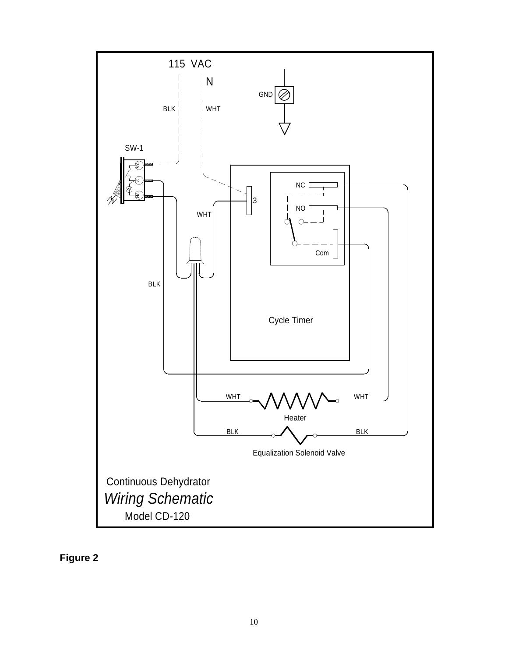